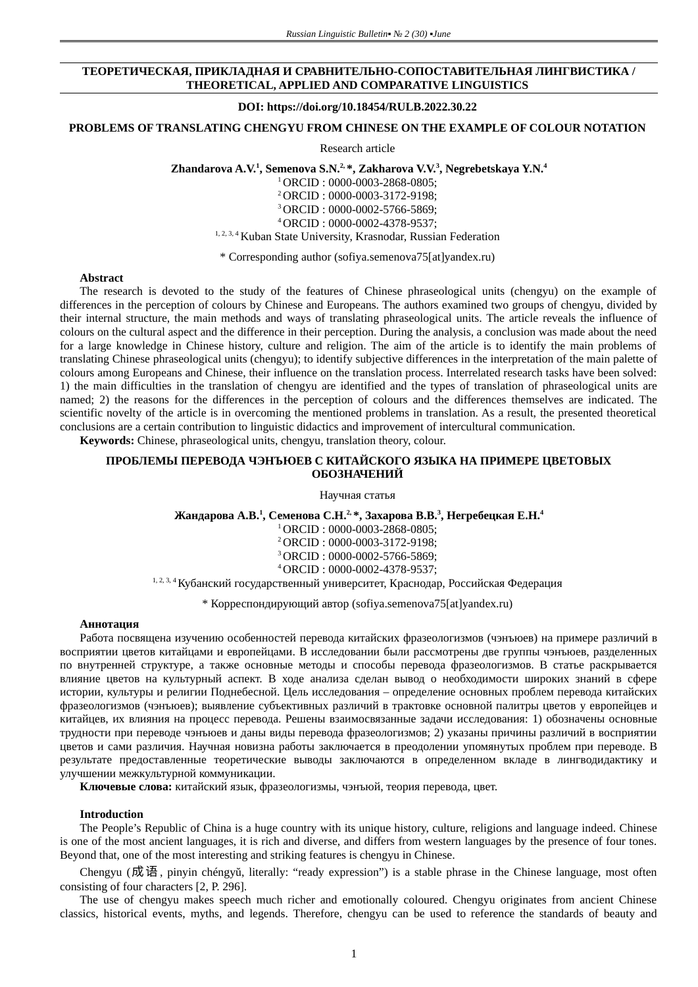## **ТЕОРЕТИЧЕСКАЯ, ПРИКЛАДНАЯ И СРАВНИТЕЛЬНО-СОПОСТАВИТЕЛЬНАЯ ЛИНГВИСТИКА / THEORETICAL, APPLIED AND COMPARATIVE LINGUISTICS**

#### **DOI: https://doi.org/10.18454/RULB.2022.30.22**

# **PROBLEMS OF TRANSLATING CHENGYU FROM CHINESE ON THE EXAMPLE OF COLOUR NOTATION**

Research article

**Zhandarova A.V.<sup>1</sup> , Semenova S.N.2, \*, Zakharova V.V.<sup>3</sup> , Negrebetskaya Y.N.<sup>4</sup>**

<sup>1</sup>ORCID : 0000-0003-2868-0805;

<sup>2</sup>ORCID : 0000-0003-3172-9198;

<sup>3</sup>ORCID : 0000-0002-5766-5869;

<sup>4</sup>ORCID : 0000-0002-4378-9537;

<sup>1, 2, 3, 4</sup> Kuban State University, Krasnodar, Russian Federation

\* Corresponding author (sofiya.semenova75[at]yandex.ru)

## **Abstract**

The research is devoted to the study of the features of Chinese phraseological units (chengyu) on the example of differences in the perception of colours by Chinese and Europeans. The authors examined two groups of chengyu, divided by their internal structure, the main methods and ways of translating phraseological units. The article reveals the influence of colours on the cultural aspect and the difference in their perception. During the analysis, a conclusion was made about the need for a large knowledge in Chinese history, culture and religion. The aim of the article is to identify the main problems of translating Chinese phraseological units (chengyu); to identify subjective differences in the interpretation of the main palette of colours among Europeans and Chinese, their influence on the translation process. Interrelated research tasks have been solved: 1) the main difficulties in the translation of chengyu are identified and the types of translation of phraseological units are named; 2) the reasons for the differences in the perception of colours and the differences themselves are indicated. The scientific novelty of the article is in overcoming the mentioned problems in translation. As a result, the presented theoretical conclusions are a certain contribution to linguistic didactics and improvement of intercultural communication.

**Keywords:** Chinese, phraseological units, chengyu, translation theory, colour.

## **ПРОБЛЕМЫ ПЕРЕВОДА ЧЭНЪЮЕВ С КИТАЙСКОГО ЯЗЫКА НА ПРИМЕРЕ ЦВЕТОВЫХ ОБОЗНАЧЕНИЙ**

Научная статья

**Жандарова А.В.<sup>1</sup> , Семенова С.Н.2, \*, Захарова В.В.<sup>3</sup> , Негребецкая Е.Н.<sup>4</sup>**

ORCID : 0000-0003-2868-0805; ORCID : 0000-0003-3172-9198; ORCID : 0000-0002-5766-5869; ORCID : 0000-0002-4378-9537;

1, 2, 3, 4 Кубанский государственный университет, Краснодар, Российская Федерация

\* Корреспондирующий автор (sofiya.semenova75[at]yandex.ru)

## **Аннотация**

Работа посвящена изучению особенностей перевода китайских фразеологизмов (чэнъюев) на примере различий в восприятии цветов китайцами и европейцами. В исследовании были рассмотрены две группы чэнъюев, разделенных по внутренней структуре, а также основные методы и способы перевода фразеологизмов. В статье раскрывается влияние цветов на культурный аспект. В ходе анализа сделан вывод о необходимости широких знаний в сфере истории, культуры и религии Поднебесной. Цель исследования – определение основных проблем перевода китайских фразеологизмов (чэнъюев); выявление субъективных различий в трактовке основной палитры цветов у европейцев и китайцев, их влияния на процесс перевода. Решены взаимосвязанные задачи исследования: 1) обозначены основные трудности при переводе чэнъюев и даны виды перевода фразеологизмов; 2) указаны причины различий в восприятии цветов и сами различия. Научная новизна работы заключается в преодолении упомянутых проблем при переводе. В результате предоставленные теоретические выводы заключаются в определенном вкладе в лингводидактику и улучшении межкультурной коммуникации.

**Ключевые слова:** китайский язык, фразеологизмы, чэнъюй, теория перевода, цвет.

## **Introduction**

The People's Republic of China is a huge country with its unique history, culture, religions and language indeed. Chinese is one of the most ancient languages, it is rich and diverse, and differs from western languages by the presence of four tones. Beyond that, one of the most interesting and striking features is chengyu in Chinese.

Chengyu (成 语, pinyin chéngyŭ, literally: "ready expression") is a stable phrase in the Chinese language, most often consisting of four characters [2, P. 296].

The use of chengyu makes speech much richer and emotionally coloured. Chengyu originates from ancient Chinese classics, historical events, myths, and legends. Therefore, chengyu can be used to reference the standards of beauty and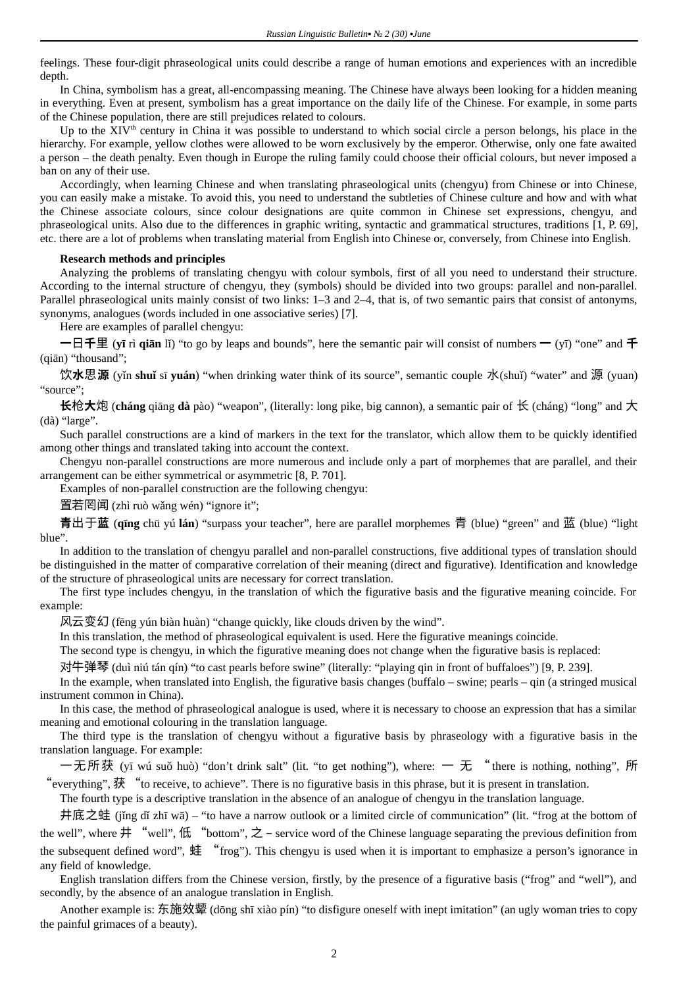feelings. These four-digit phraseological units could describe a range of human emotions and experiences with an incredible depth.

In China, symbolism has a great, all-encompassing meaning. The Chinese have always been looking for a hidden meaning in everything. Even at present, symbolism has a great importance on the daily life of the Chinese. For example, in some parts of the Chinese population, there are still prejudices related to colours.

Up to the XIV<sup>th</sup> century in China it was possible to understand to which social circle a person belongs, his place in the hierarchy. For example, yellow clothes were allowed to be worn exclusively by the emperor. Otherwise, only one fate awaited a person – the death penalty. Even though in Europe the ruling family could choose their official colours, but never imposed a ban on any of their use.

Accordingly, when learning Chinese and when translating phraseological units (chengyu) from Chinese or into Chinese, you can easily make a mistake. To avoid this, you need to understand the subtleties of Chinese culture and how and with what the Chinese associate colours, since colour designations are quite common in Chinese set expressions, chengyu, and phraseological units. Also due to the differences in graphic writing, syntactic and grammatical structures, traditions [1, P. 69], etc. there are a lot of problems when translating material from English into Chinese or, conversely, from Chinese into English.

## **Research methods and principles**

Analyzing the problems of translating chengyu with colour symbols, first of all you need to understand their structure. According to the internal structure of chengyu, they (symbols) should be divided into two groups: parallel and non-parallel. Parallel phraseological units mainly consist of two links: 1–3 and 2–4, that is, of two semantic pairs that consist of antonyms, synonyms, analogues (words included in one associative series) [7].

Here are examples of parallel chengyu:

**一**日**千**里 (**yī** rì **qiān** lǐ) "to go by leaps and bounds", here the semantic pair will consist of numbers **一** (yī) "one" and **千** (qiān) "thousand";

饮**水**思**源** (yǐn **shuǐ** sī **yuán**) "when drinking water think of its source", semantic couple 水(shuǐ) "water" and 源 (yuan) "source";

**长**枪**大**炮 (**cháng** qiāng **dà** pào) "weapon", (literally: long pike, big cannon), a semantic pair of 长 (cháng) "long" and 大 (dà) "large".

Such parallel constructions are a kind of markers in the text for the translator, which allow them to be quickly identified among other things and translated taking into account the context.

Chengyu non-parallel constructions are more numerous and include only a part of morphemes that are parallel, and their arrangement can be either symmetrical or asymmetric [8, P. 701].

Examples of non-parallel construction are the following chengyu:

置若罔闻 (zhì ruò wǎng wén) "ignore it";

**青**出于**蓝** (**qīng** chū yú **lán**) "surpass your teacher", here are parallel morphemes 青 (blue) "green" and 蓝 (blue) "light blue".

In addition to the translation of chengyu parallel and non-parallel constructions, five additional types of translation should be distinguished in the matter of comparative correlation of their meaning (direct and figurative). Identification and knowledge of the structure of phraseological units are necessary for correct translation.

The first type includes chengyu, in the translation of which the figurative basis and the figurative meaning coincide. For example:

风云变幻 (fēng yún biàn huàn) "change quickly, like clouds driven by the wind".

In this translation, the method of phraseological equivalent is used. Here the figurative meanings coincide.

The second type is chengyu, in which the figurative meaning does not change when the figurative basis is replaced:

对牛弹琴 (duì niú tán qín) "to cast pearls before swine" (literally: "playing qin in front of buffaloes") [9, P. 239].

In the example, when translated into English, the figurative basis changes (buffalo – swine; pearls – qin (a stringed musical instrument common in China).

In this case, the method of phraseological analogue is used, where it is necessary to choose an expression that has a similar meaning and emotional colouring in the translation language.

The third type is the translation of chengyu without a figurative basis by phraseology with a figurative basis in the translation language. For example:

一 无 所 获 (yī wú suǒ huò) "don't drink salt" (lit. "to get nothing"), where: 一 无 "there is nothing, nothing", 所 "everything", 获 "to receive, to achieve". There is no figurative basis in this phrase, but it is present in translation.

The fourth type is a descriptive translation in the absence of an analogue of chengyu in the translation language.

井底之蛙 (jǐng dǐ zhī wā) – "to have a narrow outlook or a limited circle of communication" (lit. "frog at the bottom of the well", where  $\#$  "well",  $($ <del>ff"</del> ("bottom",  $\geq$  - service word of the Chinese language separating the previous definition from the subsequent defined word", 蛙 "frog"). This chengyu is used when it is important to emphasize a person's ignorance in any field of knowledge.

English translation differs from the Chinese version, firstly, by the presence of a figurative basis ("frog" and "well"), and secondly, by the absence of an analogue translation in English.

Another example is: 东施效颦 (dōng shī xiào pín) "to disfigure oneself with inept imitation" (an ugly woman tries to copy the painful grimaces of a beauty).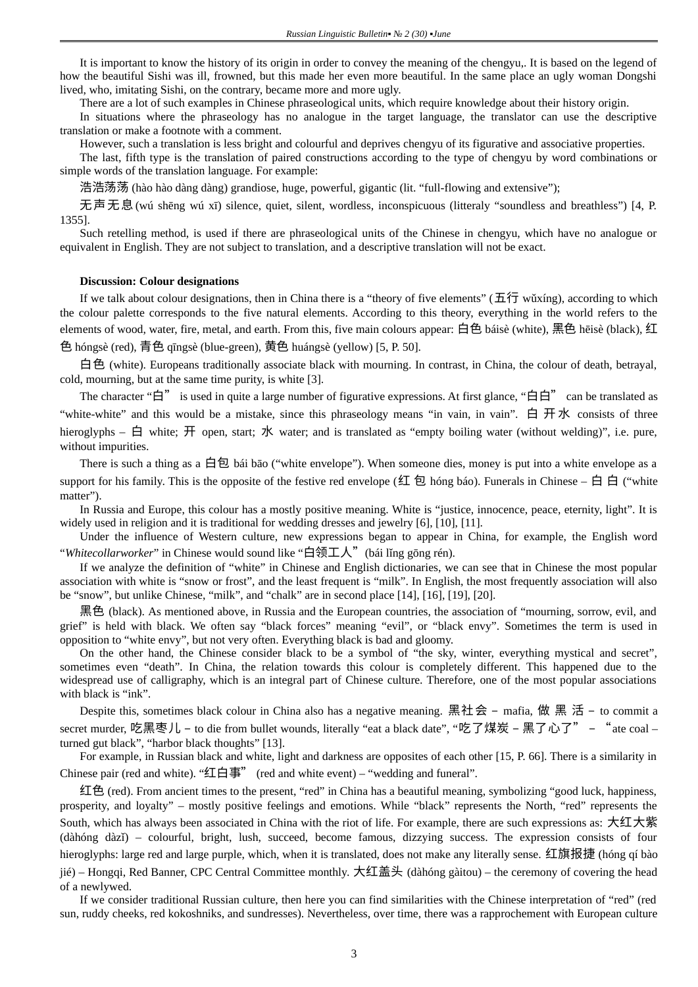It is important to know the history of its origin in order to convey the meaning of the chengyu,. It is based on the legend of how the beautiful Sishi was ill, frowned, but this made her even more beautiful. In the same place an ugly woman Dongshi lived, who, imitating Sishi, on the contrary, became more and more ugly.

There are a lot of such examples in Chinese phraseological units, which require knowledge about their history origin.

In situations where the phraseology has no analogue in the target language, the translator can use the descriptive translation or make a footnote with a comment.

However, such a translation is less bright and colourful and deprives chengyu of its figurative and associative properties.

The last, fifth type is the translation of paired constructions according to the type of chengyu by word combinations or simple words of the translation language. For example:

浩浩荡荡 (hào hào dàng dàng) grandiose, huge, powerful, gigantic (lit. "full-flowing and extensive");

无声无息(wú shēng wú xī) silence, quiet, silent, wordless, inconspicuous (litteraly "soundless and breathless") [4, P. 1355].

Such retelling method, is used if there are phraseological units of the Chinese in chengyu, which have no analogue or equivalent in English. They are not subject to translation, and a descriptive translation will not be exact.

#### **Discussion: Colour designations**

If we talk about colour designations, then in China there is a "theory of five elements" (五行 wǔxíng), according to which the colour palette corresponds to the five natural elements. According to this theory, everything in the world refers to the elements of wood, water, fire, metal, and earth. From this, five main colours appear: 白色 báisè (white), 黑色 hēisè (black), 红

色 hóngsè (red), 青色 qīngsè (blue-green), 黄色 huángsè (yellow) [5, P. 50].

白色 (white). Europeans traditionally associate black with mourning. In contrast, in China, the colour of death, betrayal, cold, mourning, but at the same time purity, is white [3].

The character "白" is used in quite a large number of figurative expressions. At first glance, "白白" can be translated as "white-white" and this would be a mistake, since this phraseology means "in vain, in vain". 白 开水 consists of three hieroglyphs – 白 white; 开 open, start; 水 water; and is translated as "empty boiling water (without welding)", i.e. pure, without impurities.

There is such a thing as a 白包 bái bāo ("white envelope"). When someone dies, money is put into a white envelope as a support for his family. This is the opposite of the festive red envelope (红 包 hóng báo). Funerals in Chinese – 白 白 ("white matter").

In Russia and Europe, this colour has a mostly positive meaning. White is "justice, innocence, peace, eternity, light". It is widely used in religion and it is traditional for wedding dresses and jewelry [6], [10], [11].

Under the influence of Western culture, new expressions began to appear in China, for example, the English word "*Whitecollarworker*" in Chinese would sound like "白领工人"(bái lǐng gōng rén).

If we analyze the definition of "white" in Chinese and English dictionaries, we can see that in Chinese the most popular association with white is "snow or frost", and the least frequent is "milk". In English, the most frequently association will also be "snow", but unlike Chinese, "milk", and "chalk" are in second place [14], [16], [19], [20].

黑色 (black). As mentioned above, in Russia and the European countries, the association of "mourning, sorrow, evil, and grief" is held with black. We often say "black forces" meaning "evil", or "black envy". Sometimes the term is used in opposition to "white envy", but not very often. Everything black is bad and gloomy.

Оn the other hand, the Chinese consider black to be a symbol of "the sky, winter, everything mystical and secret", sometimes even "death". In China, the relation towards this colour is completely different. This happened due to the widespread use of calligraphy, which is an integral part of Chinese culture. Therefore, one of the most popular associations with black is "ink".

Despite this, sometimes black colour in China also has a negative meaning. 黑社会 – mafia, 做 黑 活 – to commit a secret murder, 吃黑枣儿 – to die from bullet wounds, literally "eat a black date", "吃了煤炭 – 黑了心了" – "ate coal – turned gut black", "harbor black thoughts" [13].

For example, in Russian black and white, light and darkness are opposites of each other [15, P. 66]. There is a similarity in Chinese pair (red and white). "红白事" (red and white event) – "wedding and funeral".

红色 (red). From ancient times to the present, "red" in China has a beautiful meaning, symbolizing "good luck, happiness, prosperity, and loyalty" – mostly positive feelings and emotions. While "black" represents the North, "red" represents the South, which has always been associated in China with the riot of life. For example, there are such expressions as: 大红大紫 (dàhóng dàzǐ) – colourful, bright, lush, succeed, become famous, dizzying success. The expression consists of four hieroglyphs: large red and large purple, which, when it is translated, does not make any literally sense. 红旗报捷 (hóng qí bào jié) – Hongqi, Red Banner, CPC Central Committee monthly. 大红盖头 (dàhóng gàitou) – the ceremony of covering the head of a newlywed.

If we consider traditional Russian culture, then here you can find similarities with the Chinese interpretation of "red" (red sun, ruddy cheeks, red kokoshniks, and sundresses). Nevertheless, over time, there was a rapprochement with European culture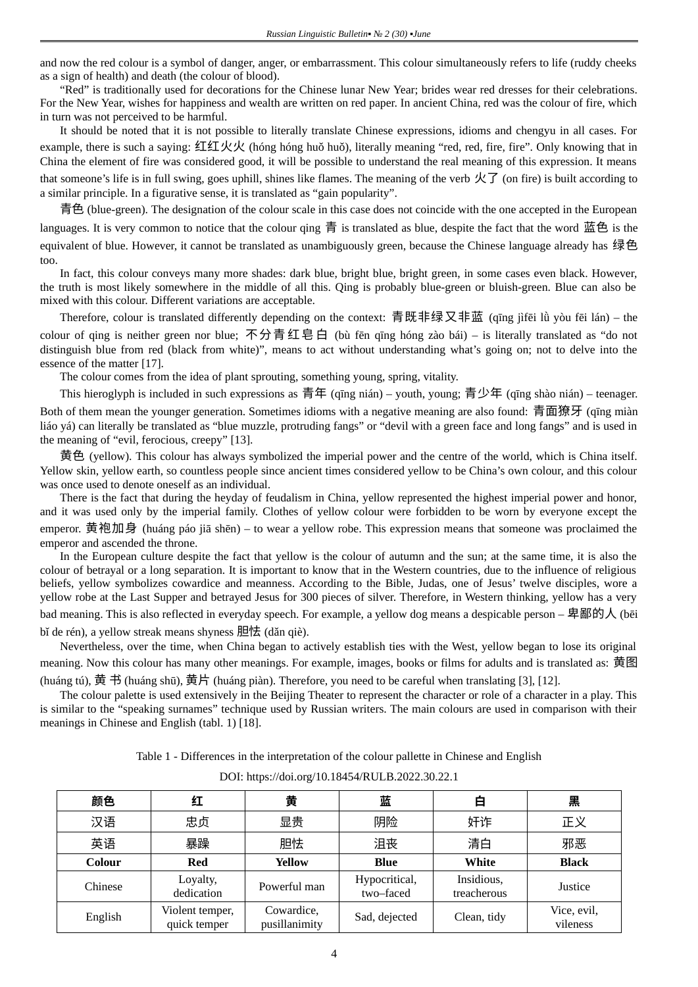and now the red colour is a symbol of danger, anger, or embarrassment. This colour simultaneously refers to life (ruddy cheeks as a sign of health) and death (the colour of blood).

"Red" is traditionally used for decorations for the Chinese lunar New Year; brides wear red dresses for their celebrations. For the New Year, wishes for happiness and wealth are written on red paper. In ancient China, red was the colour of fire, which in turn was not perceived to be harmful.

It should be noted that it is not possible to literally translate Chinese expressions, idioms and chengyu in all cases. For example, there is such a saying: 红红火火 (hóng hóng huǒ huǒ), literally meaning "red, red, fire, fire". Only knowing that in China the element of fire was considered good, it will be possible to understand the real meaning of this expression. It means that someone's life is in full swing, goes uphill, shines like flames. The meaning of the verb  $\mathcal{K}$  (on fire) is built according to a similar principle. In a figurative sense, it is translated as "gain popularity".

青色 (blue-green). The designation of the colour scale in this case does not coincide with the one accepted in the European languages. It is very common to notice that the colour qing 青 is translated as blue, despite the fact that the word 蓝色 is the equivalent of blue. However, it cannot be translated as unambiguously green, because the Chinese language already has 绿色 too.

In fact, this colour conveys many more shades: dark blue, bright blue, bright green, in some cases even black. However, the truth is most likely somewhere in the middle of all this. Qing is probably blue-green or bluish-green. Blue can also be mixed with this colour. Different variations are acceptable.

Therefore, colour is translated differently depending on the context: 青既非绿又非蓝 (qīng jìfēi lǜ yòu fēi lán) – the colour of qing is neither green nor blue; 不分青红皂白 (bù fēn qīng hóng zào bái) – is literally translated as "do not distinguish blue from red (black from white)", means to act without understanding what's going on; not to delve into the essence of the matter [17].

The colour comes from the idea of plant sprouting, something young, spring, vitality.

This hieroglyph is included in such expressions as 青年 (qīng nián) – youth, young; 青少年 (qīng shào nián) – teenager.

Both of them mean the younger generation. Sometimes idioms with a negative meaning are also found: 青面獠牙 (qīng miàn liáo yá) can literally be translated as "blue muzzle, protruding fangs" or "devil with a green face and long fangs" and is used in the meaning of "evil, ferocious, creepy" [13].

黄色 (yellow). This colour has always symbolized the imperial power and the centre of the world, which is China itself. Yellow skin, yellow earth, so countless people since ancient times considered yellow to be China's own colour, and this colour was once used to denote oneself as an individual.

There is the fact that during the heyday of feudalism in China, yellow represented the highest imperial power and honor, and it was used only by the imperial family. Clothes of yellow colour were forbidden to be worn by everyone except the emperor. 黄袍加身 (huáng páo jiā shēn) – to wear a yellow robe. This expression means that someone was proclaimed the emperor and ascended the throne.

In the European culture despite the fact that yellow is the colour of autumn and the sun; at the same time, it is also the colour of betrayal or a long separation. It is important to know that in the Western countries, due to the influence of religious beliefs, yellow symbolizes cowardice and meanness. According to the Bible, Judas, one of Jesus' twelve disciples, wore a yellow robe at the Last Supper and betrayed Jesus for 300 pieces of silver. Therefore, in Western thinking, yellow has a very bad meaning. This is also reflected in everyday speech. For example, a yellow dog means a despicable person - 卑鄙的人 (bēi bǐ de rén), a vellow streak means shyness 胆怯 (dǎn qiè).

Nevertheless, over the time, when China began to actively establish ties with the West, yellow began to lose its original meaning. Now this colour has many other meanings. For example, images, books or films for adults and is translated as: 黄图 (huáng tú), 黄 书 (huáng shū), 黄片 (huáng piàn). Therefore, you need to be careful when translating [3], [12].

The colour palette is used extensively in the Beijing Theater to represent the character or role of a character in a play. This is similar to the "speaking surnames" technique used by Russian writers. The main colours are used in comparison with their meanings in Chinese and English (tabl. 1) [18].

Table 1 - Differences in the interpretation of the colour pallette in Chinese and English

DOI: https://doi.org/10.18454/RULB.2022.30.22.1

| 颜色      | 红                               | 黄                           | 蓝                          | 白                         | 黑                       |
|---------|---------------------------------|-----------------------------|----------------------------|---------------------------|-------------------------|
| 汉语      | 忠贞                              | 显贵                          | 阴险                         | 奸诈                        | 正义                      |
| 英语      | 暴躁                              | 胆怯                          | 沮丧                         | 清白                        | 邪恶                      |
| Colour  | <b>Red</b>                      | Yellow                      | <b>Blue</b>                | White                     | <b>Black</b>            |
| Chinese | Loyalty,<br>dedication          | Powerful man                | Hypocritical,<br>two-faced | Insidious,<br>treacherous | Justice                 |
| English | Violent temper,<br>quick temper | Cowardice,<br>pusillanimity | Sad, dejected              | Clean, tidy               | Vice, evil,<br>vileness |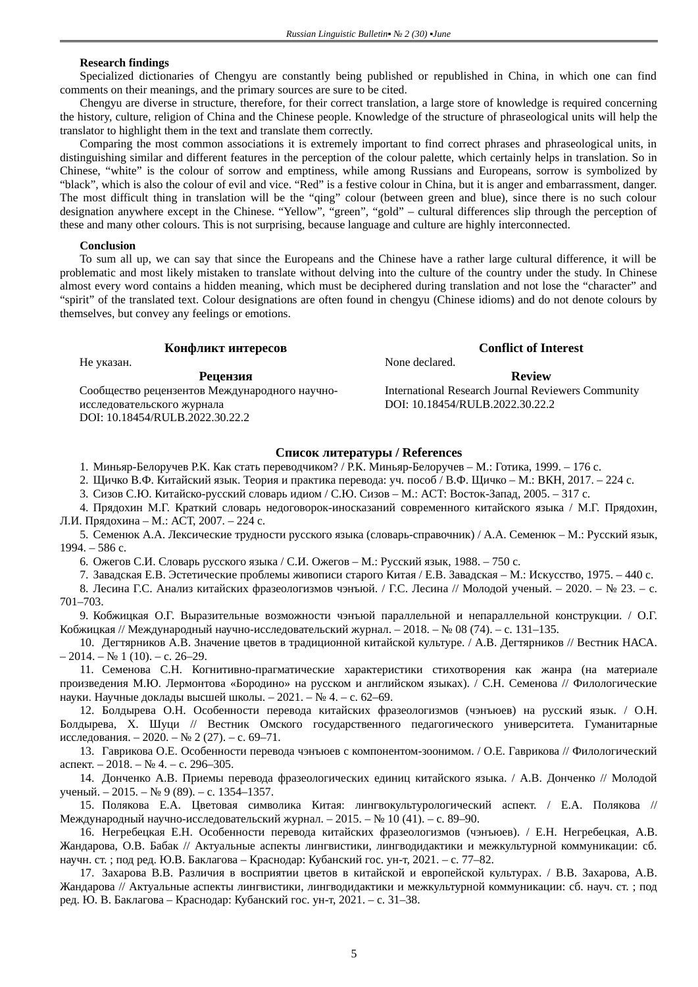### **Research findings**

Specialized dictionaries of Chengyu are constantly being published or republished in China, in which one can find comments on their meanings, and the primary sources are sure to be cited.

Chengyu are diverse in structure, therefore, for their correct translation, a large store of knowledge is required concerning the history, culture, religion of China and the Chinese people. Knowledge of the structure of phraseological units will help the translator to highlight them in the text and translate them correctly.

Comparing the most common associations it is extremely important to find correct phrases and phraseological units, in distinguishing similar and different features in the perception of the colour palette, which certainly helps in translation. So in Chinese, "white" is the colour of sorrow and emptiness, while among Russians and Europeans, sorrow is symbolized by "black", which is also the colour of evil and vice. "Red" is a festive colour in China, but it is anger and embarrassment, danger. The most difficult thing in translation will be the "qing" colour (between green and blue), since there is no such colour designation anywhere except in the Chinese. "Yellow", "green", "gold" – cultural differences slip through the perception of these and many other colours. This is not surprising, because language and culture are highly interconnected.

#### **Conclusion**

To sum all up, we can say that since the Europeans and the Chinese have a rather large cultural difference, it will be problematic and most likely mistaken to translate without delving into the culture of the country under the study. In Chinese almost every word contains a hidden meaning, which must be deciphered during translation and not lose the "character" and "spirit" of the translated text. Colour designations are often found in chengyu (Chinese idioms) and do not denote colours by themselves, but convey any feelings or emotions.

## **Конфликт интересов Conflict of Interest**

Не указан. None declared.

Сообщество рецензентов Международного научноисследовательского журнала DOI: 10.18454/RULB.2022.30.22.2

**Рецензия Review** International Research Journal Reviewers Community DOI: 10.18454/RULB.2022.30.22.2

## **Список литературы / References**

1. Миньяр-Белоручев Р.К. Как стать переводчиком? / Р.К. Миньяр-Белоручев – М.: Готика, 1999. – 176 c.

2. Щичко В.Ф. Китайский язык. Теория и практика перевода: уч. пособ / В.Ф. Щичко – М.: ВКН, 2017. – 224 c.

3. Сизов С.Ю. Китайско-русский словарь идиом / С.Ю. Сизов – М.: ACT: Восток-Запад, 2005. – 317 c.

4. Прядохин М.Г. Краткий словарь недоговорок-иносказаний современного китайского языка / М.Г. Прядохин, Л.И. Прядохина – М.: АСТ, 2007. – 224 c.

5. Семенюк А.А. Лексические трудности русского языка (словарь-справочник) / А.А. Семенюк – М.: Русский язык, 1994. – 586 c.

6. Ожегов С.И. Словарь русского языка / С.И. Ожегов – М.: Русский язык, 1988. – 750 c.

7. Завадская Е.В. Эстетические проблемы живописи старого Китая / Е.В. Завадская – М.: Искусство, 1975. – 440 c.

8. Лесина Г.С. Анализ китайских фразеологизмов чэнъюй. / Г.С. Лесина // Молодой ученый. – 2020. – № 23. – c. 701–703.

9. Кобжицкая О.Г. Выразительные возможности чэнъюй параллельной и непараллельной конструкции. / О.Г. Кобжицкая // Международный научно-исследовательский журнал. – 2018. – № 08 (74). – c. 131–135.

10. Дегтярников А.В. Значение цветов в традиционной китайской культуре. / А.В. Дегтярников // Вестник НАСА.  $-2014$ . – No 1 (10). – c. 26–29.

11. Семенова С.Н. Когнитивно-прагматические характеристики стихотворения как жанра (на материале произведения М.Ю. Лермонтова «Бородино» на русском и английском языках). / С.Н. Семенова // Филологические науки. Научные доклады высшей школы. – 2021. – № 4. – c. 62–69.

12. Болдырева О.Н. Особенности перевода китайских фразеологизмов (чэнъюев) на русский язык. / О.Н. Болдырева, Х. Шуци // Вестник Омского государственного педагогического университета. Гуманитарные исследования. – 2020. – № 2 (27). – c. 69–71.

13. Гаврикова О.Е. Особенности перевода чэнъюев с компонентом-зоонимом. / О.Е. Гаврикова // Филологический аспект. – 2018. – № 4. – c. 296–305.

14. Донченко А.В. Приемы перевода фразеологических единиц китайского языка. / А.В. Донченко // Молодой ученый. – 2015. – № 9 (89). – c. 1354–1357.

15. Полякова Е.А. Цветовая символика Китая: лингвокультурологический аспект. / Е.А. Полякова // Международный научно-исследовательский журнал. – 2015. – № 10 (41). – c. 89–90.

16. Негребецкая Е.Н. Особенности перевода китайских фразеологизмов (чэнъюев). / Е.Н. Негребецкая, А.В. Жандарова, О.В. Бабак // Актуальные аспекты лингвистики, лингводидактики и межкультурной коммуникации: сб. научн. ст. ; под ред. Ю.В. Баклагова – Краснодар: Кубанский гос. ун-т, 2021. – c. 77–82.

17. Захарова В.В. Различия в восприятии цветов в китайской и европейской культурах. / В.В. Захарова, А.В. Жандарова // Актуальные аспекты лингвистики, лингводидактики и межкультурной коммуникации: сб. науч. ст. ; под ред. Ю. В. Баклагова – Краснодар: Кубанский гос. ун-т, 2021. – c. 31–38.